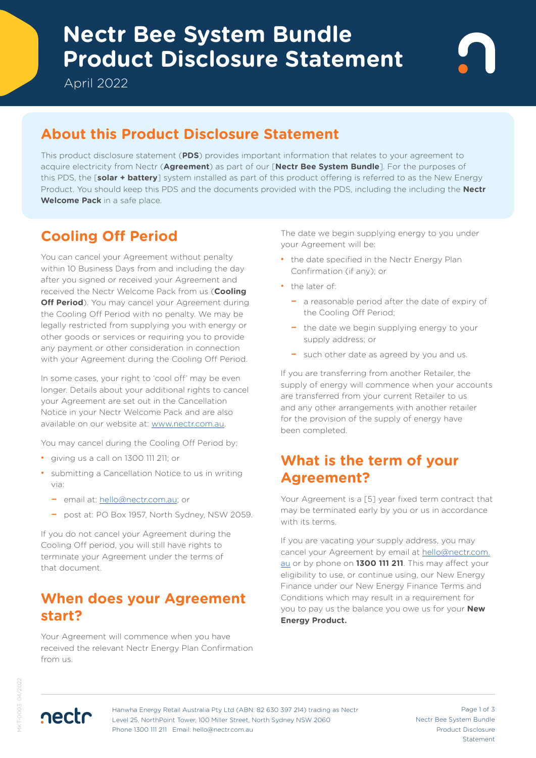# **Product Disclosure Statement Nectr Bee System Bundle**

April 2022

# **About this Product Disclosure Statement**

This product disclosure statement (**PDS**) provides important information that relates to your agreement to acquire electricity from Nectr (**Agreement**) as part of our [**Nectr Bee System Bundle**]. For the purposes of this PDS, the [**solar + battery**] system installed as part of this product offering is referred to as the New Energy Product. You should keep this PDS and the documents provided with the PDS, including the including the **Nectr Welcome Pack** in a safe place.

# **Cooling Off Period**

You can cancel your Agreement without penalty within 10 Business Days from and including the day after you signed or received your Agreement and received the Nectr Welcome Pack from us (**Cooling Off Period**). You may cancel your Agreement during the Cooling Off Period with no penalty. We may be legally restricted from supplying you with energy or other goods or services or requiring you to provide any payment or other consideration in connection with your Agreement during the Cooling Off Period.

In some cases, your right to 'cool off' may be even longer. Details about your additional rights to cancel your Agreement are set out in the Cancellation Notice in your Nectr Welcome Pack and are also available on our website at: [www.nectr.com.au](https://nectr.com.au/).

You may cancel during the Cooling Off Period by:

- **•** giving us a call on 1300 111 211; or
- **•** submitting a Cancellation Notice to us in writing via:
	- **–** email at: [hello@nectr.com.au;](mailto:hello%40nectr.com.au?subject=) or
	- **–** post at: PO Box 1957, North Sydney, NSW 2059.

If you do not cancel your Agreement during the Cooling Off period, you will still have rights to terminate your Agreement under the terms of that document.

# **When does your Agreement start?**

Your Agreement will commence when you have received the relevant Nectr Energy Plan Confirmation from us.

The date we begin supplying energy to you under your Agreement will be:

- **•** the date specified in the Nectr Energy Plan Confirmation (if any); or
- **•** the later of:
	- **–** a reasonable period after the date of expiry of the Cooling Off Period;
	- **–** the date we begin supplying energy to your supply address; or
	- **–** such other date as agreed by you and us.

If you are transferring from another Retailer, the supply of energy will commence when your accounts are transferred from your current Retailer to us and any other arrangements with another retailer for the provision of the supply of energy have been completed.

# **What is the term of your Agreement?**

Your Agreement is a [5] year fixed term contract that may be terminated early by you or us in accordance with its terms.

If you are vacating your supply address, you may cancel your Agreement by email at [hello@nectr.com.](mailto:hello%40nectr.com.au?subject=) [au](mailto:hello%40nectr.com.au?subject=) or by phone on **1300 111 211**. This may affect your eligibility to use, or continue using, our New Energy Finance under our New Energy Finance Terms and Conditions which may result in a requirement for you to pay us the balance you owe us for your **New Energy Product.**



Hanwha Energy Retail Australia Pty Ltd (ABN: 82 630 397 214) trading as Nectr Level 25, NorthPoint Tower, 100 Miller Street, North Sydney NSW 2060 Phone 1300 111 211 Email: hello@nectr.com.au

Page 1 of 3 Nectr Bee System Bundle Product Disclosure Statement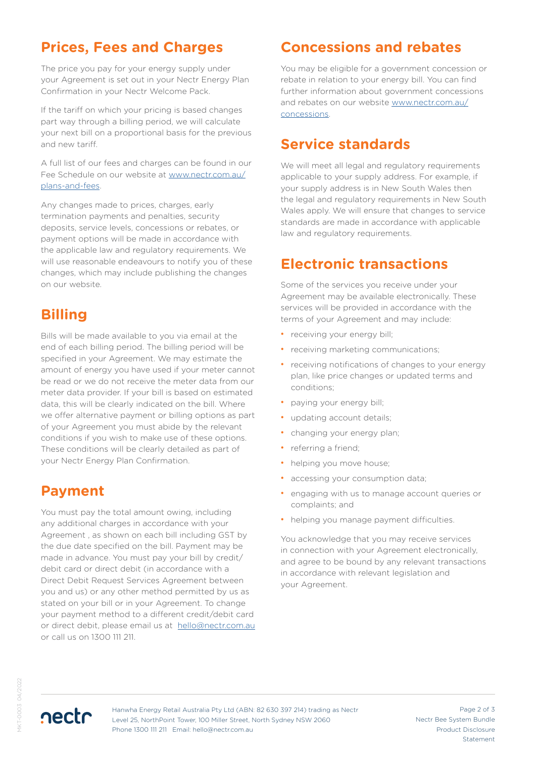# **Prices, Fees and Charges**

The price you pay for your energy supply under your Agreement is set out in your Nectr Energy Plan Confirmation in your Nectr Welcome Pack.

If the tariff on which your pricing is based changes part way through a billing period, we will calculate your next bill on a proportional basis for the previous and new tariff.

A full list of our fees and charges can be found in our Fee Schedule on our website at [www.nectr.com.au/](https://www.nectr.com.au/plans-and-fee) [plans-and-fee](https://www.nectr.com.au/plans-and-fee)s.

Any changes made to prices, charges, early termination payments and penalties, security deposits, service levels, concessions or rebates, or payment options will be made in accordance with the applicable law and regulatory requirements. We will use reasonable endeavours to notify you of these changes, which may include publishing the changes on our website.

# **Billing**

Bills will be made available to you via email at the end of each billing period. The billing period will be specified in your Agreement. We may estimate the amount of energy you have used if your meter cannot be read or we do not receive the meter data from our meter data provider. If your bill is based on estimated data, this will be clearly indicated on the bill. Where we offer alternative payment or billing options as part of your Agreement you must abide by the relevant conditions if you wish to make use of these options. These conditions will be clearly detailed as part of your Nectr Energy Plan Confirmation.

#### **Payment**

You must pay the total amount owing, including any additional charges in accordance with your Agreement , as shown on each bill including GST by the due date specified on the bill. Payment may be made in advance. You must pay your bill by credit/ debit card or direct debit (in accordance with a Direct Debit Request Services Agreement between you and us) or any other method permitted by us as stated on your bill or in your Agreement. To change your payment method to a different credit/debit card or direct debit, please email us at [hello@nectr.com.au](mailto:hello%40nectr.com.au?subject=) or call us on 1300 111 211.

### **Concessions and rebates**

You may be eligible for a government concession or rebate in relation to your energy bill. You can find further information about government concessions and rebates on our website [www.nectr.com.au/](https://www.nectr.com.au/concessions) [concessions](https://www.nectr.com.au/concessions).

#### **Service standards**

We will meet all legal and regulatory requirements applicable to your supply address. For example, if your supply address is in New South Wales then the legal and regulatory requirements in New South Wales apply. We will ensure that changes to service standards are made in accordance with applicable law and regulatory requirements.

### **Electronic transactions**

Some of the services you receive under your Agreement may be available electronically. These services will be provided in accordance with the terms of your Agreement and may include:

- **•** receiving your energy bill;
- **•** receiving marketing communications;
- **•** receiving notifications of changes to your energy plan, like price changes or updated terms and conditions;
- **•** paying your energy bill;
- **•** updating account details;
- **•** changing your energy plan;
- **•** referring a friend;
- **•** helping you move house;
- **•** accessing your consumption data;
- **•** engaging with us to manage account queries or complaints; and
- **•** helping you manage payment difficulties.

You acknowledge that you may receive services in connection with your Agreement electronically, and agree to be bound by any relevant transactions in accordance with relevant legislation and your Agreement.